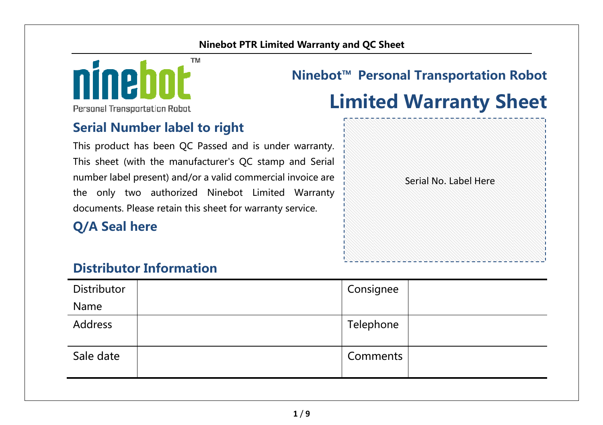#### **Ninebot PTR Limited Warranty and QC Sheet**



# **Ninebot™ Personal Transportation Robot**

#### Personal Transportation Robot

#### **Serial Number label to right**

This product has been QC Passed and is under warranty. This sheet (with the manufacturer's QC stamp and Serial number label present) and/or a valid commercial invoice are the only two authorized Ninebot Limited Warranty documents. Please retain this sheet for warranty service.

### **Q/A Seal here**

# **Limited Warranty Sheet**

Serial No. Label Here

### **Distributor Information**

| Distributor | Consignee |  |
|-------------|-----------|--|
| Name        |           |  |
| Address     | Telephone |  |
| Sale date   | Comments  |  |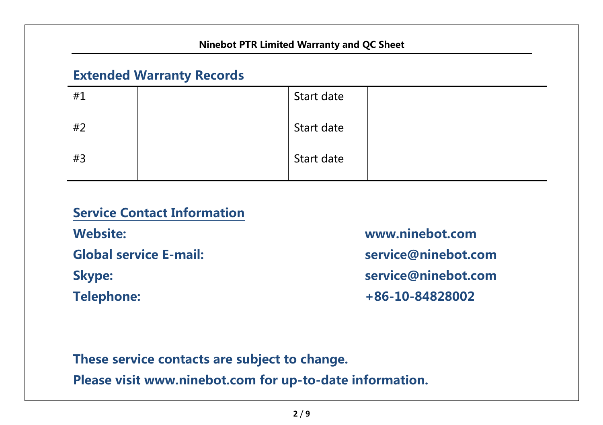## **Extended Warranty Records**

| #1 | Start date |  |
|----|------------|--|
| #2 | Start date |  |
| #3 | Start date |  |

**Service Contact InformationWebsite: www.ninebot.com Global service E-mail: service@ninebot.com Skype: service@ninebot.com Telephone: +86-10-84828002** 

#### **These service contacts are subject to change.**

**Please visit www.ninebot.com for up-to-date information.**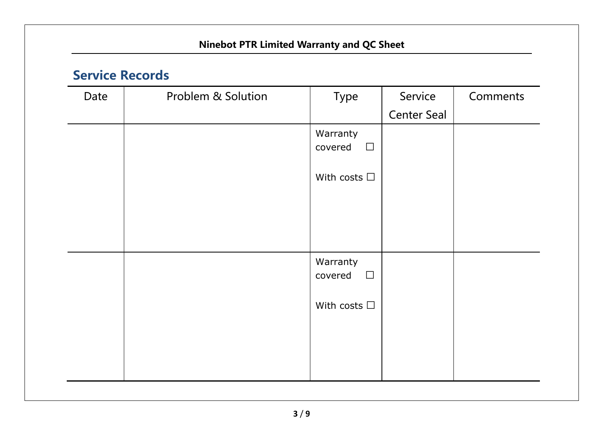| Date | Problem & Solution | Type                          | Service     | Comments |
|------|--------------------|-------------------------------|-------------|----------|
|      |                    |                               | Center Seal |          |
|      |                    | Warranty<br>covered<br>$\Box$ |             |          |
|      |                    | With costs $\Box$             |             |          |
|      |                    |                               |             |          |
|      |                    |                               |             |          |
|      |                    | Warranty<br>covered<br>$\Box$ |             |          |
|      |                    | With costs $\Box$             |             |          |
|      |                    |                               |             |          |
|      |                    |                               |             |          |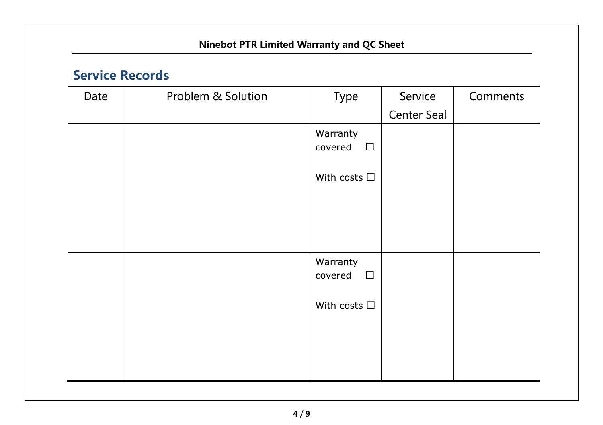| Date | Problem & Solution | Type                          | Service     | Comments |
|------|--------------------|-------------------------------|-------------|----------|
|      |                    |                               | Center Seal |          |
|      |                    | Warranty<br>covered<br>$\Box$ |             |          |
|      |                    | With costs $\Box$             |             |          |
|      |                    |                               |             |          |
|      |                    | Warranty<br>covered<br>$\Box$ |             |          |
|      |                    | With costs $\Box$             |             |          |
|      |                    |                               |             |          |
|      |                    |                               |             |          |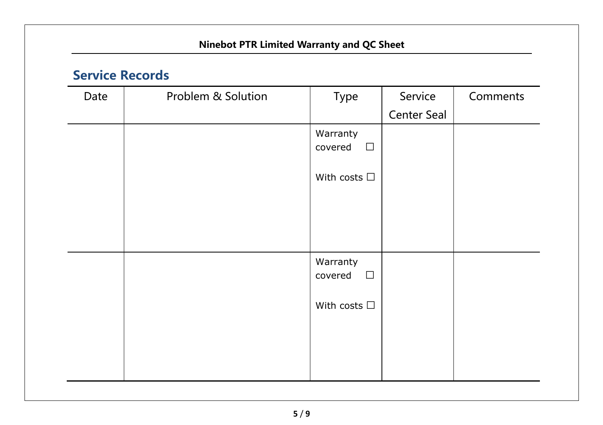| Date | Problem & Solution | Type                          | Service     | Comments |
|------|--------------------|-------------------------------|-------------|----------|
|      |                    |                               | Center Seal |          |
|      |                    | Warranty<br>covered<br>$\Box$ |             |          |
|      |                    | With costs $\Box$             |             |          |
|      |                    |                               |             |          |
|      |                    | Warranty<br>covered<br>$\Box$ |             |          |
|      |                    | With costs $\Box$             |             |          |
|      |                    |                               |             |          |
|      |                    |                               |             |          |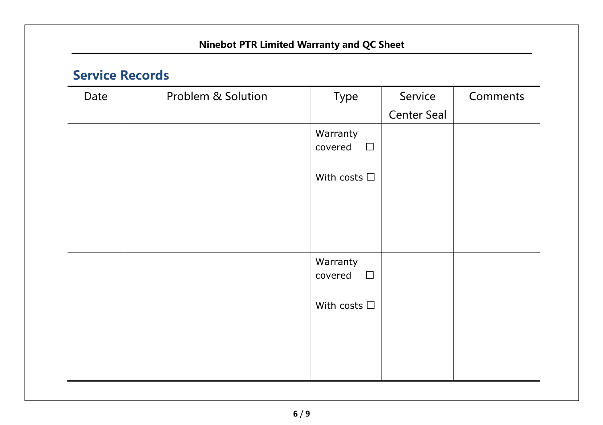| Date | Problem & Solution | Type                          | Service     | Comments |
|------|--------------------|-------------------------------|-------------|----------|
|      |                    |                               | Center Seal |          |
|      |                    | Warranty<br>covered<br>$\Box$ |             |          |
|      |                    | With costs $\Box$             |             |          |
|      |                    |                               |             |          |
|      |                    | Warranty<br>covered<br>$\Box$ |             |          |
|      |                    | With costs $\Box$             |             |          |
|      |                    |                               |             |          |
|      |                    |                               |             |          |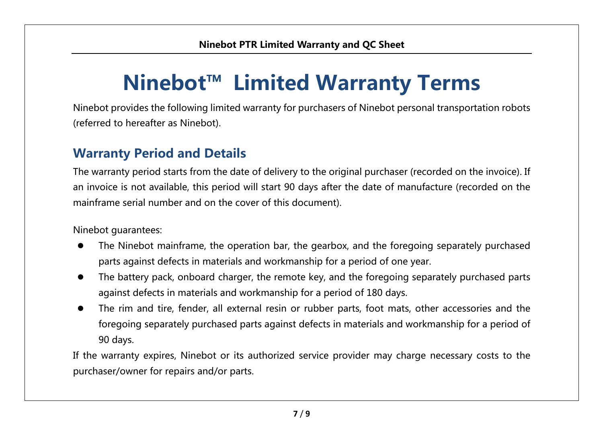# **Ninebot™ Limited Warranty Terms**

Ninebot provides the following limited warranty for purchasers of Ninebot personal transportation robots (referred to hereafter as Ninebot).

### **Warranty Period and Details**

The warranty period starts from the date of delivery to the original purchaser (recorded on the invoice). If an invoice is not available, this period will start 90 days after the date of manufacture (recorded on the mainframe serial number and on the cover of this document).

Ninebot quarantees:

- $\bullet$ The Ninebot mainframe, the operation bar, the gearbox, and the foregoing separately purchased parts against defects in materials and workmanship for a period of one year.
- $\bullet$ The battery pack, onboard charger, the remote key, and the foregoing separately purchased parts against defects in materials and workmanship for a period of 180 days.
- $\bullet$  The rim and tire, fender, all external resin or rubber parts, footmats, other accessories and the foregoing separately purchased parts against defects in materials and workmanship for a period of 90 days.

If the warranty expires, Ninebot or its authorized service provider may charge necessary costs to the purchaser/owner for repairs and/or parts.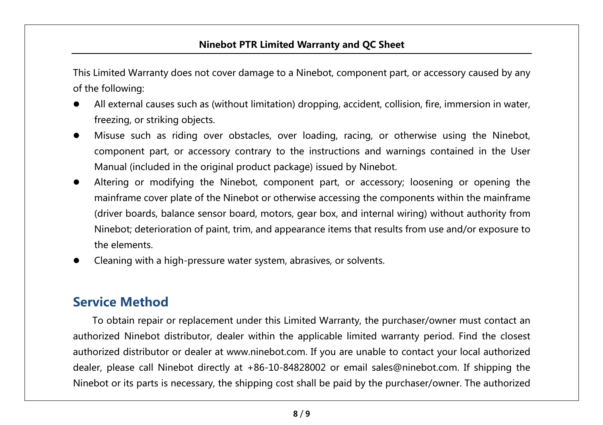#### **Ninebot PTR Limited Warranty and QC Sheet**

This Limited Warranty does not cover damage to a Ninebot, component part, or accessory caused by any of the following:

- e All external causes such as (without limitation) dropping, accident, collision, fire, immersion in water, freezing, or striking objects.
- e Misuse such as riding over obstacles, over loading, racing, or otherwise using the Ninebot, component part, or accessory contrary to the instructions and warnings contained in the User Manual (included in the original product package) issued by Ninebot.
- e Altering or modifying the Ninebot, component part, or accessory; loosening or opening the mainframe cover plate of the Ninebot or otherwise accessing the components within the mainframe (driver boards, balance sensor board, motors, gear box, and internal wiring) without authority from Ninebot; deterioration of paint, trim, and appearance items that results from use and/or exposure to the elements.
- e Cleaning with a high-pressure water system, abrasives, or solvents.

#### **Service Method**

To obtain repair or replacement under this Limited Warranty, the purchaser/owner must contact an authorized Ninebot distributor, dealer within the applicable limited warranty period. Find the closest authorized distributor or dealer at www.ninebot.com. If you are unable to contact your local authorized dealer, please call Ninebot directly at +86-10-84828002 or email sales@ninebot.com. If shipping the Ninebot or its parts is necessary, the shipping cost shall be paid by the purchaser/owner. The authorized